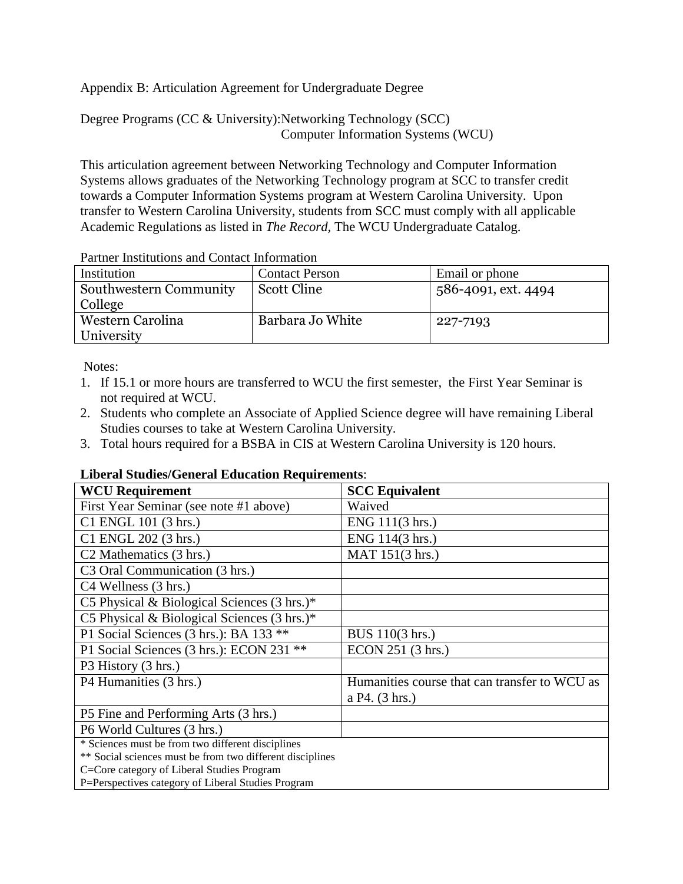Appendix B: Articulation Agreement for Undergraduate Degree

Degree Programs (CC & University):Networking Technology (SCC) Computer Information Systems (WCU)

This articulation agreement between Networking Technology and Computer Information Systems allows graduates of the Networking Technology program at SCC to transfer credit towards a Computer Information Systems program at Western Carolina University. Upon transfer to Western Carolina University, students from SCC must comply with all applicable Academic Regulations as listed in *The Record,* The WCU Undergraduate Catalog.

|  |  | Partner Institutions and Contact Information |
|--|--|----------------------------------------------|
|  |  |                                              |

| Institution            | <b>Contact Person</b> | Email or phone      |
|------------------------|-----------------------|---------------------|
| Southwestern Community | Scott Cline           | 586-4091, ext. 4494 |
| College                |                       |                     |
| Western Carolina       | Barbara Jo White      | 227-7193            |
| University             |                       |                     |

Notes:

- 1. If 15.1 or more hours are transferred to WCU the first semester, the First Year Seminar is not required at WCU.
- 2. Students who complete an Associate of Applied Science degree will have remaining Liberal Studies courses to take at Western Carolina University.
- 3. Total hours required for a BSBA in CIS at Western Carolina University is 120 hours.

## **Liberal Studies/General Education Requirements**:

| <b>WCU Requirement</b>                                    | <b>SCC Equivalent</b>                         |
|-----------------------------------------------------------|-----------------------------------------------|
| First Year Seminar (see note #1 above)                    | Waived                                        |
| C1 ENGL 101 (3 hrs.)                                      | ENG 111(3 hrs.)                               |
| C1 ENGL 202 (3 hrs.)                                      | ENG 114(3 hrs.)                               |
| C <sub>2</sub> Mathematics (3 hrs.)                       | MAT 151(3 hrs.)                               |
| C <sub>3</sub> Oral Communication (3 hrs.)                |                                               |
| C4 Wellness (3 hrs.)                                      |                                               |
| C5 Physical & Biological Sciences $(3 \text{ hrs.})^*$    |                                               |
| C5 Physical & Biological Sciences (3 hrs.)*               |                                               |
| P1 Social Sciences (3 hrs.): BA 133 **                    | BUS 110(3 hrs.)                               |
| P1 Social Sciences (3 hrs.): ECON 231 **                  | ECON 251 (3 hrs.)                             |
| P3 History (3 hrs.)                                       |                                               |
| P4 Humanities (3 hrs.)                                    | Humanities course that can transfer to WCU as |
|                                                           | a P4. (3 hrs.)                                |
| P5 Fine and Performing Arts (3 hrs.)                      |                                               |
| P6 World Cultures (3 hrs.)                                |                                               |
| * Sciences must be from two different disciplines         |                                               |
| ** Social sciences must be from two different disciplines |                                               |
| C=Core category of Liberal Studies Program                |                                               |
| P=Perspectives category of Liberal Studies Program        |                                               |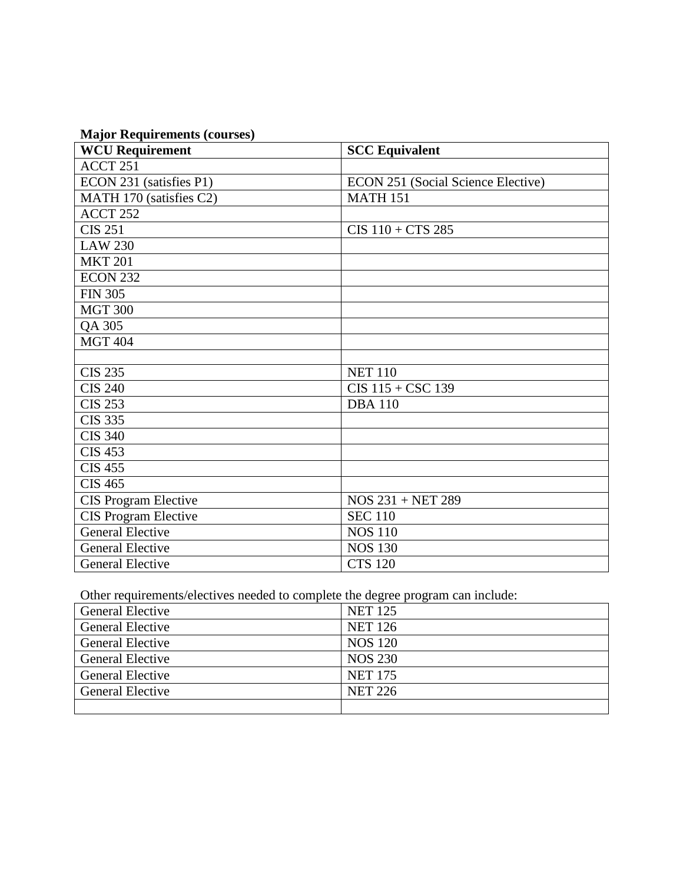| <b>Major Requirements (courses)</b> |  |
|-------------------------------------|--|
|-------------------------------------|--|

| <b>WCU Requirement</b>       | <b>SCC Equivalent</b>              |
|------------------------------|------------------------------------|
| ACCT 251                     |                                    |
| ECON 231 (satisfies P1)      | ECON 251 (Social Science Elective) |
| MATH 170 (satisfies C2)      | <b>MATH 151</b>                    |
| ACCT <sub>252</sub>          |                                    |
| <b>CIS 251</b>               | $CIS$ 110 + $CTS$ 285              |
| <b>LAW 230</b>               |                                    |
| $\overline{\text{M}}$ KT 201 |                                    |
| <b>ECON 232</b>              |                                    |
| <b>FIN 305</b>               |                                    |
| <b>MGT 300</b>               |                                    |
| QA 305                       |                                    |
| <b>MGT 404</b>               |                                    |
|                              |                                    |
| <b>CIS 235</b>               | <b>NET 110</b>                     |
| <b>CIS 240</b>               | $CIS$ 115 + $CSC$ 139              |
| <b>CIS 253</b>               | <b>DBA110</b>                      |
| <b>CIS 335</b>               |                                    |
| <b>CIS 340</b>               |                                    |
| <b>CIS 453</b>               |                                    |
| <b>CIS 455</b>               |                                    |
| <b>CIS 465</b>               |                                    |
| <b>CIS Program Elective</b>  | $NOS 231 + NET 289$                |
| <b>CIS Program Elective</b>  | <b>SEC 110</b>                     |
| <b>General Elective</b>      | <b>NOS 110</b>                     |
| <b>General Elective</b>      | <b>NOS 130</b>                     |
| <b>General Elective</b>      | <b>CTS 120</b>                     |

Other requirements/electives needed to complete the degree program can include:

| <b>General Elective</b> | <b>NET 125</b> |
|-------------------------|----------------|
| <b>General Elective</b> | <b>NET 126</b> |
| <b>General Elective</b> | <b>NOS 120</b> |
| <b>General Elective</b> | <b>NOS 230</b> |
| <b>General Elective</b> | <b>NET 175</b> |
| <b>General Elective</b> | <b>NET 226</b> |
|                         |                |